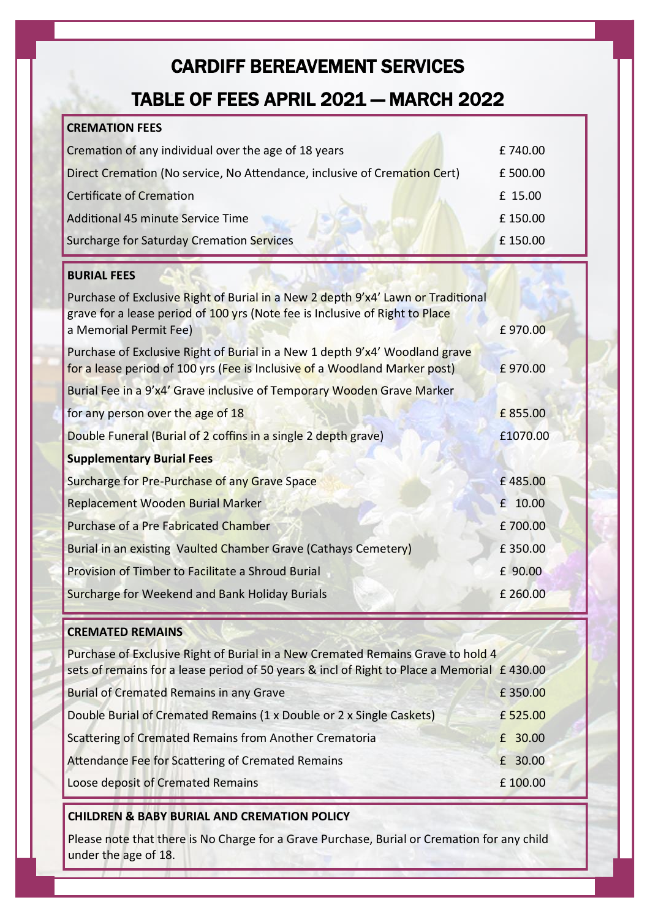# CARDIFF BEREAVEMENT SERVICES

# TABLE OF FEES APRIL 2021 — MARCH 2022

### **CREMATION FEES** Cremation of any individual over the age of 18 years **EXECUTE:** 240.00 Direct Cremation (No service, No Attendance, inclusive of Cremation Cert) £500.00 Certificate of Cremation £ 15.00 Additional 45 minute Service Time **Exercise 19th Additional 45 minute** Service Time Surcharge for Saturday Cremation Services **2008** 2012 150.00 **BURIAL FEES** Purchase of Exclusive Right of Burial in a New 2 depth 9'x4' Lawn or Traditional grave for a lease period of 100 yrs (Note fee is Inclusive of Right to Place a Memorial Permit Fee) **E** 970.00 Purchase of Exclusive Right of Burial in a New 1 depth 9'x4' Woodland grave for a lease period of 100 yrs (Fee is Inclusive of a Woodland Marker post) £ 970.00 Burial Fee in a 9'x4' Grave inclusive of Temporary Wooden Grave Marker for any person over the age of 18 **EXECUTE:** the age of 18 Double Funeral (Burial of 2 coffins in a single 2 depth grave) £1070.00 **Supplementary Burial Fees** Surcharge for Pre-Purchase of any Grave Space **Executive Contract Contract Contract Contract Contract Contract Contract Contract Contract Contract Contract Contract Contract Contract Contract Contract Contract Contract Con** Replacement Wooden Burial Marker **1999 10.00 10.00 10.00 10.00** Purchase of a Pre Fabricated Chamber **2001** 2001 2012 12:00:00 Burial in an existing Vaulted Chamber Grave (Cathays Cemetery) E 350.00 Provision of Timber to Facilitate a Shroud Burial **E** 90.00 Surcharge for Weekend and Bank Holiday Burials **1998 E** 260.00

#### **CREMATED REMAINS**

| Purchase of Exclusive Right of Burial in a New Cremated Remains Grave to hold 4<br>sets of remains for a lease period of 50 years & incl of Right to Place a Memorial £430.00 |         |
|-------------------------------------------------------------------------------------------------------------------------------------------------------------------------------|---------|
| <b>Burial of Cremated Remains in any Grave</b>                                                                                                                                | £350.00 |
| Double Burial of Cremated Remains (1 x Double or 2 x Single Caskets)                                                                                                          | £525.00 |
| Scattering of Cremated Remains from Another Crematoria                                                                                                                        | £ 30.00 |
| Attendance Fee for Scattering of Cremated Remains                                                                                                                             | £ 30.00 |
| Loose deposit of Cremated Remains                                                                                                                                             | £100.00 |

#### **CHILDREN & BABY BURIAL AND CREMATION POLICY**

Please note that there is No Charge for a Grave Purchase, Burial or Cremation for any child under the age of 18.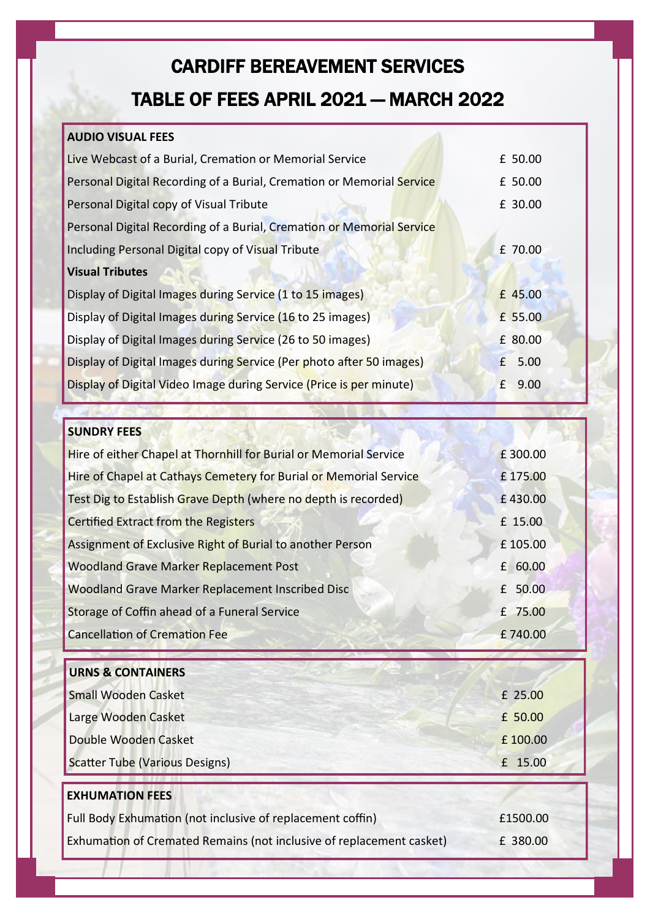# CARDIFF BEREAVEMENT SERVICES TABLE OF FEES APRIL 2021 — MARCH 2022

### **AUDIO VISUAL FEES**

| Live Webcast of a Burial, Cremation or Memorial Service               | £ 50.00              |
|-----------------------------------------------------------------------|----------------------|
| Personal Digital Recording of a Burial, Cremation or Memorial Service | £ 50.00              |
| Personal Digital copy of Visual Tribute                               | £ 30.00              |
| Personal Digital Recording of a Burial, Cremation or Memorial Service |                      |
| Including Personal Digital copy of Visual Tribute                     | £ 70.00              |
| <b>Visual Tributes</b>                                                |                      |
| Display of Digital Images during Service (1 to 15 images)             | £ 45.00              |
| Display of Digital Images during Service (16 to 25 images)            | £ 55.00              |
| Display of Digital Images during Service (26 to 50 images)            | £ 80.00              |
| Display of Digital Images during Service (Per photo after 50 images)  | 5.00<br>f            |
| Display of Digital Video Image during Service (Price is per minute)   | 9.00<br>$\mathbf{f}$ |

#### **SUNDRY FEES**

| Hire of either Chapel at Thornhill for Burial or Memorial Service | £300.00 |
|-------------------------------------------------------------------|---------|
| Hire of Chapel at Cathays Cemetery for Burial or Memorial Service | £175.00 |
| Test Dig to Establish Grave Depth (where no depth is recorded)    | £430.00 |
| <b>Certified Extract from the Registers</b>                       | £ 15.00 |
| Assignment of Exclusive Right of Burial to another Person         | £105.00 |
| <b>Woodland Grave Marker Replacement Post</b>                     | £ 60.00 |
| Woodland Grave Marker Replacement Inscribed Disc                  | £ 50.00 |
| Storage of Coffin ahead of a Funeral Service                      | £ 75.00 |
| <b>Cancellation of Cremation Fee</b>                              | £740.00 |

| <b>URNS &amp; CONTAINERS</b>                               |          |
|------------------------------------------------------------|----------|
| <b>Small Wooden Casket</b>                                 | £ 25.00  |
| Large Wooden Casket                                        | £ 50.00  |
| Double Wooden Casket                                       | £100.00  |
| <b>Scatter Tube (Various Designs)</b>                      | £ 15.00  |
| <b>EXHUMATION FEES</b>                                     |          |
| Full Body Exhumation (not inclusive of replacement coffin) | £1500.00 |

Exhumation of Cremated Remains (not inclusive of replacement casket) E 380.00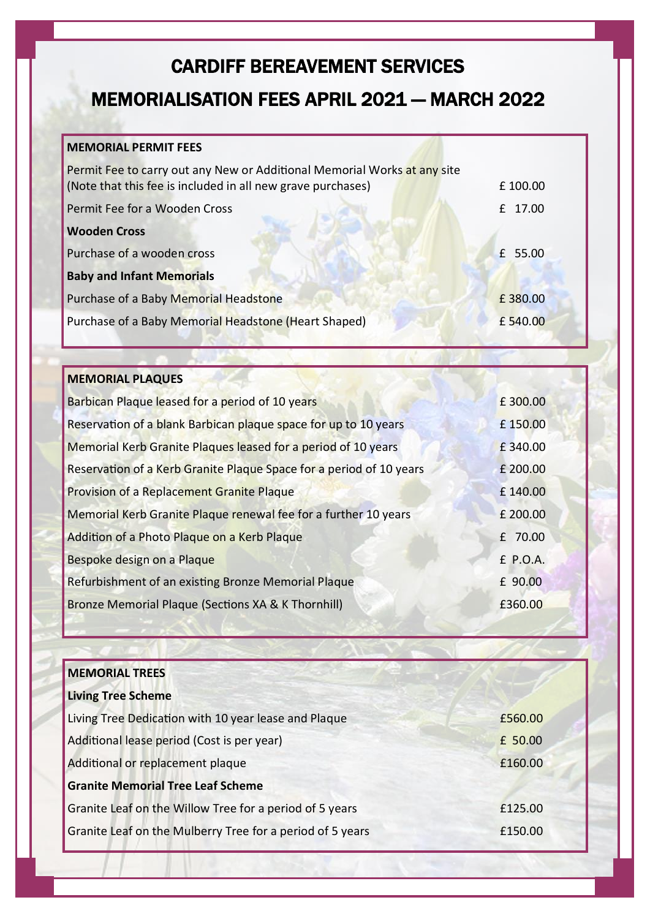## CARDIFF BEREAVEMENT SERVICES

### MEMORIALISATION FEES APRIL 2021 — MARCH 2022

#### **MEMORIAL PERMIT FEES**

| Permit Fee to carry out any New or Additional Memorial Works at any site<br>(Note that this fee is included in all new grave purchases) | £100.00 |
|-----------------------------------------------------------------------------------------------------------------------------------------|---------|
| Permit Fee for a Wooden Cross                                                                                                           | £ 17.00 |
| <b>Wooden Cross</b>                                                                                                                     |         |
| Purchase of a wooden cross                                                                                                              | £ 55.00 |
| <b>Baby and Infant Memorials</b>                                                                                                        |         |
| Purchase of a Baby Memorial Headstone                                                                                                   | £380.00 |
| Purchase of a Baby Memorial Headstone (Heart Shaped)                                                                                    | £540.00 |

#### **MEMORIAL PLAQUES**

| Barbican Plaque leased for a period of 10 years                     | £300.00  |
|---------------------------------------------------------------------|----------|
| Reservation of a blank Barbican plaque space for up to 10 years     | £150.00  |
| Memorial Kerb Granite Plaques leased for a period of 10 years       | £340.00  |
| Reservation of a Kerb Granite Plaque Space for a period of 10 years | £ 200.00 |
| Provision of a Replacement Granite Plaque                           | £140.00  |
| Memorial Kerb Granite Plaque renewal fee for a further 10 years     | £ 200.00 |
| Addition of a Photo Plaque on a Kerb Plaque                         | £ 70.00  |
| Bespoke design on a Plaque                                          | £ P.O.A. |
| Refurbishment of an existing Bronze Memorial Plaque                 | £ 90.00  |
| Bronze Memorial Plaque (Sections XA & K Thornhill)                  | £360.00  |

| <b>MEMORIAL TREES</b>                                     |         |
|-----------------------------------------------------------|---------|
| <b>Living Tree Scheme</b>                                 |         |
| Living Tree Dedication with 10 year lease and Plaque      | £560.00 |
| Additional lease period (Cost is per year)                | £ 50.00 |
| Additional or replacement plaque                          | £160.00 |
| <b>Granite Memorial Tree Leaf Scheme</b>                  |         |
| Granite Leaf on the Willow Tree for a period of 5 years   | £125.00 |
| Granite Leaf on the Mulberry Tree for a period of 5 years | £150.00 |
|                                                           |         |